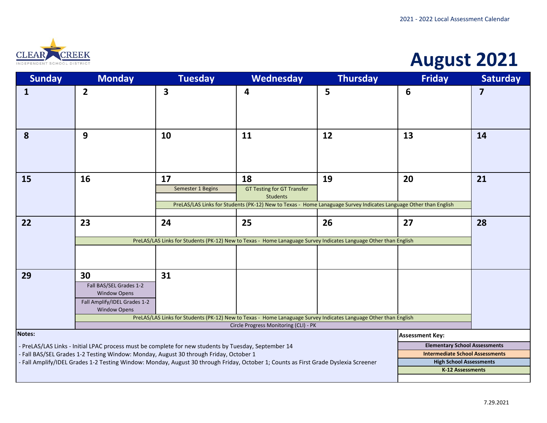

# **August 2021**

| <b>Sunday</b>                                                                                                                                                                                                                                                                                                                                                                                                                                                                       | <b>Monday</b>                                                                                                                                  | <b>Tuesday</b>          | Wednesday                                                                                                                                                                      | <b>Thursday</b> | <b>Friday</b>          | <b>Saturday</b>         |
|-------------------------------------------------------------------------------------------------------------------------------------------------------------------------------------------------------------------------------------------------------------------------------------------------------------------------------------------------------------------------------------------------------------------------------------------------------------------------------------|------------------------------------------------------------------------------------------------------------------------------------------------|-------------------------|--------------------------------------------------------------------------------------------------------------------------------------------------------------------------------|-----------------|------------------------|-------------------------|
| $\mathbf{1}$                                                                                                                                                                                                                                                                                                                                                                                                                                                                        | $\overline{2}$                                                                                                                                 | 3                       | 4                                                                                                                                                                              | 5               | 6                      | $\overline{\mathbf{z}}$ |
| 8                                                                                                                                                                                                                                                                                                                                                                                                                                                                                   | 9                                                                                                                                              | 10                      | 11                                                                                                                                                                             | 12              | 13                     | 14                      |
| 15                                                                                                                                                                                                                                                                                                                                                                                                                                                                                  | 16                                                                                                                                             | 17<br>Semester 1 Begins | 18<br><b>GT Testing for GT Transfer</b><br><b>Students</b><br>PreLAS/LAS Links for Students (PK-12) New to Texas - Home Lanaguage Survey Indicates Language Other than English | 19              | 20                     | 21                      |
| 22                                                                                                                                                                                                                                                                                                                                                                                                                                                                                  | 23<br>24<br>25<br>26<br>27<br>PreLAS/LAS Links for Students (PK-12) New to Texas - Home Lanaguage Survey Indicates Language Other than English |                         |                                                                                                                                                                                |                 |                        |                         |
| 29                                                                                                                                                                                                                                                                                                                                                                                                                                                                                  | 30<br>Fall BAS/SEL Grades 1-2<br><b>Window Opens</b><br>Fall Amplify/IDEL Grades 1-2<br><b>Window Opens</b>                                    | 31                      | PreLAS/LAS Links for Students (PK-12) New to Texas - Home Lanaguage Survey Indicates Language Other than English<br>Circle Progress Monitoring (CLI) - PK                      |                 |                        |                         |
| Notes:                                                                                                                                                                                                                                                                                                                                                                                                                                                                              |                                                                                                                                                |                         |                                                                                                                                                                                |                 | <b>Assessment Key:</b> |                         |
| <b>Elementary School Assessments</b><br>- PreLAS/LAS Links - Initial LPAC process must be complete for new students by Tuesday, September 14<br><b>Intermediate School Assessments</b><br>- Fall BAS/SEL Grades 1-2 Testing Window: Monday, August 30 through Friday, October 1<br><b>High School Assessments</b><br>- Fall Amplify/IDEL Grades 1-2 Testing Window: Monday, August 30 through Friday, October 1; Counts as First Grade Dyslexia Screener<br><b>K-12 Assessments</b> |                                                                                                                                                |                         |                                                                                                                                                                                |                 |                        |                         |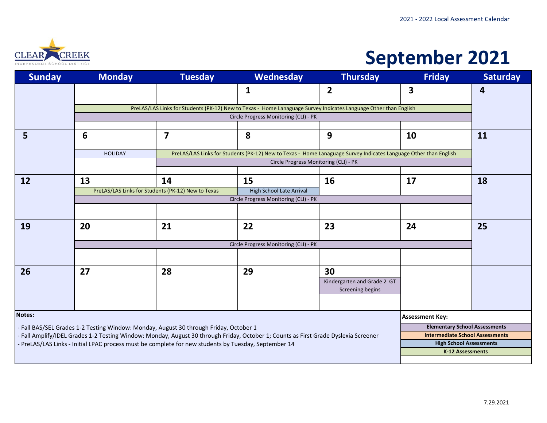

# **September 2021**

| <b>Sunday</b> | <b>Monday</b>                                                                                                           | <b>Tuesday</b>          | Wednesday                                                                                                                           | <b>Thursday</b>             | <b>Friday</b>                          | <b>Saturday</b> |  |  |  |
|---------------|-------------------------------------------------------------------------------------------------------------------------|-------------------------|-------------------------------------------------------------------------------------------------------------------------------------|-----------------------------|----------------------------------------|-----------------|--|--|--|
|               |                                                                                                                         |                         | 1                                                                                                                                   | $\overline{2}$              | 3                                      | 4               |  |  |  |
|               |                                                                                                                         |                         | PreLAS/LAS Links for Students (PK-12) New to Texas - Home Lanaguage Survey Indicates Language Other than English                    |                             |                                        |                 |  |  |  |
|               |                                                                                                                         |                         | Circle Progress Monitoring (CLI) - PK                                                                                               |                             |                                        |                 |  |  |  |
|               |                                                                                                                         |                         |                                                                                                                                     |                             |                                        |                 |  |  |  |
| 5             | 6                                                                                                                       | $\overline{\mathbf{z}}$ | 8                                                                                                                                   | 9                           | 10                                     | 11              |  |  |  |
|               | <b>HOLIDAY</b>                                                                                                          |                         |                                                                                                                                     |                             |                                        |                 |  |  |  |
|               |                                                                                                                         |                         | Circle Progress Monitoring (CLI) - PK                                                                                               |                             |                                        |                 |  |  |  |
|               |                                                                                                                         |                         |                                                                                                                                     |                             |                                        |                 |  |  |  |
| 12            | 13                                                                                                                      | 14                      | 15                                                                                                                                  | <b>16</b>                   | 17                                     | 18              |  |  |  |
|               | PreLAS/LAS Links for Students (PK-12) New to Texas<br>High School Late Arrival<br>Circle Progress Monitoring (CLI) - PK |                         |                                                                                                                                     |                             |                                        |                 |  |  |  |
|               |                                                                                                                         |                         |                                                                                                                                     |                             |                                        |                 |  |  |  |
|               |                                                                                                                         |                         |                                                                                                                                     |                             |                                        |                 |  |  |  |
| 19            | 20                                                                                                                      | 21                      | 22                                                                                                                                  | 23                          | 24                                     | 25              |  |  |  |
|               | Circle Progress Monitoring (CLI) - PK                                                                                   |                         |                                                                                                                                     |                             |                                        |                 |  |  |  |
|               |                                                                                                                         |                         |                                                                                                                                     |                             |                                        |                 |  |  |  |
|               |                                                                                                                         |                         |                                                                                                                                     |                             |                                        |                 |  |  |  |
| 26            | 27                                                                                                                      | 28                      | 29                                                                                                                                  | 30                          |                                        |                 |  |  |  |
|               |                                                                                                                         |                         |                                                                                                                                     | Kindergarten and Grade 2 GT |                                        |                 |  |  |  |
|               |                                                                                                                         |                         |                                                                                                                                     | Screening begins            |                                        |                 |  |  |  |
|               |                                                                                                                         |                         |                                                                                                                                     |                             |                                        |                 |  |  |  |
| Notes:        |                                                                                                                         |                         |                                                                                                                                     |                             | <b>Assessment Key:</b>                 |                 |  |  |  |
|               | - Fall BAS/SEL Grades 1-2 Testing Window: Monday, August 30 through Friday, October 1                                   |                         |                                                                                                                                     |                             | <b>Elementary School Assessments</b>   |                 |  |  |  |
|               |                                                                                                                         |                         | - Fall Amplify/IDEL Grades 1-2 Testing Window: Monday, August 30 through Friday, October 1; Counts as First Grade Dyslexia Screener |                             | <b>Intermediate School Assessments</b> |                 |  |  |  |
|               | - PreLAS/LAS Links - Initial LPAC process must be complete for new students by Tuesday, September 14                    |                         |                                                                                                                                     |                             | <b>High School Assessments</b>         |                 |  |  |  |
|               | <b>K-12 Assessments</b>                                                                                                 |                         |                                                                                                                                     |                             |                                        |                 |  |  |  |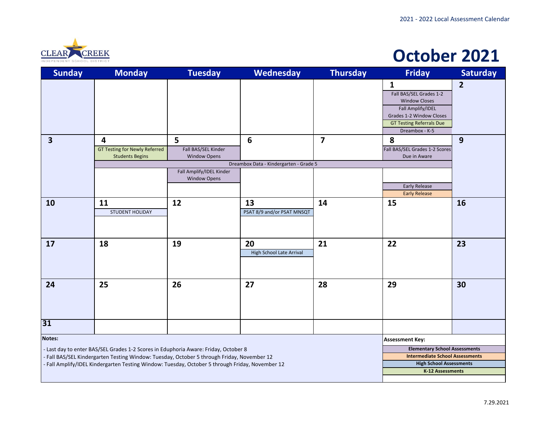

#### **October 2021**

| <b>Sunday</b>           | <b>Monday</b>                                                                                                                                                                                 | <b>Tuesday</b>                                  | <b>Wednesday</b>                                          | <b>Thursday</b>         | <b>Friday</b>                                                                                                                                                         | <b>Saturday</b> |
|-------------------------|-----------------------------------------------------------------------------------------------------------------------------------------------------------------------------------------------|-------------------------------------------------|-----------------------------------------------------------|-------------------------|-----------------------------------------------------------------------------------------------------------------------------------------------------------------------|-----------------|
|                         |                                                                                                                                                                                               |                                                 |                                                           |                         | $\mathbf{1}$<br>Fall BAS/SEL Grades 1-2<br><b>Window Closes</b><br>Fall Amplify/IDEL<br>Grades 1-2 Window Closes<br><b>GT Testing Referrals Due</b><br>Dreambox - K-5 | $\overline{2}$  |
| $\overline{\mathbf{3}}$ | $\overline{\mathbf{4}}$<br><b>GT Testing for Newly Referred</b><br><b>Students Begins</b>                                                                                                     | 5<br>Fall BAS/SEL Kinder<br><b>Window Opens</b> | $6\phantom{1}6$<br>Dreambox Data - Kindergarten - Grade 5 | $\overline{\mathbf{z}}$ | 8<br>Fall BAS/SEL Grades 1-2 Scores<br>Due in Aware                                                                                                                   | 9               |
|                         |                                                                                                                                                                                               | Fall Amplify/IDEL Kinder<br><b>Window Opens</b> |                                                           |                         | <b>Early Release</b><br><b>Early Release</b>                                                                                                                          |                 |
| 10                      | 11<br><b>STUDENT HOLIDAY</b>                                                                                                                                                                  | 12                                              | 13<br>PSAT 8/9 and/or PSAT MNSQT                          | 14                      | 15                                                                                                                                                                    | 16              |
| 17                      | 18                                                                                                                                                                                            | 19                                              | 20<br><b>High School Late Arrival</b>                     | 21                      | 22                                                                                                                                                                    | 23              |
| 24                      | 25                                                                                                                                                                                            | 26                                              | 27                                                        | 28                      | 29                                                                                                                                                                    | 30              |
| 31                      |                                                                                                                                                                                               |                                                 |                                                           |                         |                                                                                                                                                                       |                 |
| <b>Notes:</b>           |                                                                                                                                                                                               |                                                 |                                                           |                         | <b>Assessment Key:</b>                                                                                                                                                |                 |
|                         | - Last day to enter BAS/SEL Grades 1-2 Scores in Eduphoria Aware: Friday, October 8                                                                                                           |                                                 |                                                           |                         | <b>Elementary School Assessments</b><br><b>Intermediate School Assessments</b>                                                                                        |                 |
|                         | - Fall BAS/SEL Kindergarten Testing Window: Tuesday, October 5 through Friday, November 12<br>- Fall Amplify/IDEL Kindergarten Testing Window: Tuesday, October 5 through Friday, November 12 | <b>High School Assessments</b>                  |                                                           |                         |                                                                                                                                                                       |                 |
|                         |                                                                                                                                                                                               |                                                 |                                                           |                         | K-12 Assessments                                                                                                                                                      |                 |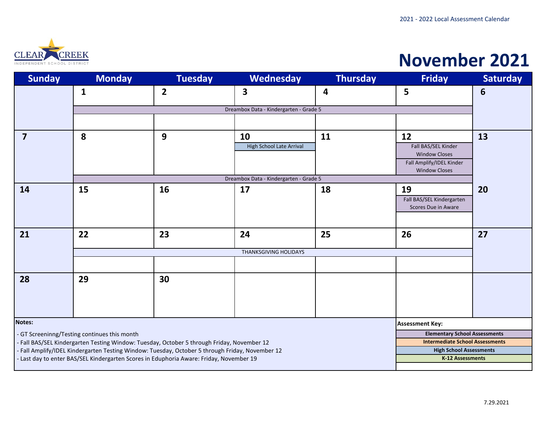

### **November 2021**

| <b>Sunday</b>           | <b>Monday</b>                                | <b>Tuesday</b>                                                                                | Wednesday                              | <b>Thursday</b> | <b>Friday</b>                                             | <b>Saturday</b> |
|-------------------------|----------------------------------------------|-----------------------------------------------------------------------------------------------|----------------------------------------|-----------------|-----------------------------------------------------------|-----------------|
|                         | $\mathbf{1}$                                 | $\overline{2}$                                                                                | 3                                      | 4               | 5                                                         | 6               |
|                         |                                              |                                                                                               |                                        |                 |                                                           |                 |
|                         |                                              |                                                                                               | Dreambox Data - Kindergarten - Grade 5 |                 |                                                           |                 |
|                         |                                              |                                                                                               |                                        |                 |                                                           |                 |
| $\overline{\mathbf{z}}$ | 8                                            | 9                                                                                             | 10                                     | 11              | 12                                                        | 13              |
|                         |                                              |                                                                                               | <b>High School Late Arrival</b>        |                 | Fall BAS/SEL Kinder                                       |                 |
|                         |                                              |                                                                                               |                                        |                 | <b>Window Closes</b><br>Fall Amplify/IDEL Kinder          |                 |
|                         |                                              |                                                                                               |                                        |                 | <b>Window Closes</b>                                      |                 |
|                         |                                              |                                                                                               | Dreambox Data - Kindergarten - Grade 5 |                 |                                                           |                 |
| 14                      | 15                                           | 16                                                                                            | 17                                     | 18              | 19                                                        | 20              |
|                         |                                              |                                                                                               |                                        |                 | Fall BAS/SEL Kindergarten                                 |                 |
|                         |                                              |                                                                                               |                                        |                 | Scores Due in Aware                                       |                 |
|                         |                                              |                                                                                               |                                        |                 |                                                           |                 |
| 21                      | 22                                           | 23                                                                                            | 24                                     | 25              | 26                                                        | 27              |
|                         |                                              |                                                                                               |                                        |                 |                                                           |                 |
|                         |                                              |                                                                                               | <b>THANKSGIVING HOLIDAYS</b>           |                 |                                                           |                 |
|                         |                                              |                                                                                               |                                        |                 |                                                           |                 |
| 28                      | 29                                           | 30                                                                                            |                                        |                 |                                                           |                 |
|                         |                                              |                                                                                               |                                        |                 |                                                           |                 |
|                         |                                              |                                                                                               |                                        |                 |                                                           |                 |
|                         |                                              |                                                                                               |                                        |                 |                                                           |                 |
| <b>Notes:</b>           |                                              |                                                                                               |                                        |                 | <b>Assessment Key:</b>                                    |                 |
|                         | - GT Screeninng/Testing continues this month |                                                                                               |                                        |                 | <b>Elementary School Assessments</b>                      |                 |
|                         |                                              | - Fall BAS/SEL Kindergarten Testing Window: Tuesday, October 5 through Friday, November 12    |                                        |                 | <b>Intermediate School Assessments</b>                    |                 |
|                         |                                              | Fall Amplify/IDEL Kindergarten Testing Window: Tuesday, October 5 through Friday, November 12 |                                        |                 | <b>High School Assessments</b><br><b>K-12 Assessments</b> |                 |
|                         |                                              | - Last day to enter BAS/SEL Kindergarten Scores in Eduphoria Aware: Friday, November 19       |                                        |                 |                                                           |                 |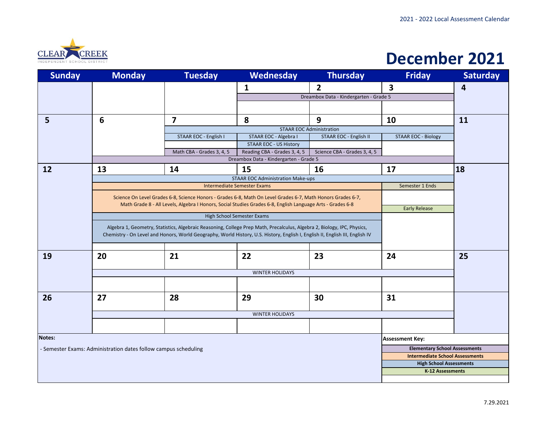

#### **December 2021**

| <b>Sunday</b> | <b>Monday</b>                                                                                                           | <b>Tuesday</b>                                                                                                                | Wednesday                                                                                                  | <b>Thursday</b>                        | <b>Friday</b>                          | <b>Saturday</b> |
|---------------|-------------------------------------------------------------------------------------------------------------------------|-------------------------------------------------------------------------------------------------------------------------------|------------------------------------------------------------------------------------------------------------|----------------------------------------|----------------------------------------|-----------------|
|               |                                                                                                                         |                                                                                                                               | 1                                                                                                          | $\overline{2}$                         | $\overline{\mathbf{3}}$                | 4               |
|               |                                                                                                                         |                                                                                                                               |                                                                                                            | Dreambox Data - Kindergarten - Grade 5 |                                        |                 |
|               |                                                                                                                         |                                                                                                                               |                                                                                                            |                                        |                                        |                 |
| 5             | 6                                                                                                                       | $\overline{\mathbf{z}}$                                                                                                       | 8                                                                                                          | 9                                      | 10                                     | 11              |
|               |                                                                                                                         |                                                                                                                               | <b>STAAR EOC Administration</b>                                                                            |                                        |                                        |                 |
|               |                                                                                                                         | STAAR EOC - English I                                                                                                         | STAAR EOC - Algebra I                                                                                      | STAAR EOC - English II                 | <b>STAAR EOC - Biology</b>             |                 |
|               |                                                                                                                         |                                                                                                                               | <b>STAAR EOC - US History</b>                                                                              |                                        |                                        |                 |
|               |                                                                                                                         | Math CBA - Grades 3, 4, 5                                                                                                     | Reading CBA - Grades 3, 4, 5<br>Dreambox Data - Kindergarten - Grade 5                                     | Science CBA - Grades 3, 4, 5           |                                        |                 |
|               |                                                                                                                         |                                                                                                                               |                                                                                                            |                                        |                                        |                 |
| 12            | 13                                                                                                                      | 14                                                                                                                            | 15                                                                                                         | 16                                     | 17                                     | 18              |
|               |                                                                                                                         |                                                                                                                               | <b>STAAR EOC Administration Make-ups</b>                                                                   |                                        |                                        |                 |
|               |                                                                                                                         |                                                                                                                               | <b>Intermediate Semester Exams</b>                                                                         |                                        | Semester 1 Ends                        |                 |
|               | Science On Level Grades 6-8, Science Honors - Grades 6-8, Math On Level Grades 6-7, Math Honors Grades 6-7,             |                                                                                                                               |                                                                                                            |                                        |                                        |                 |
|               |                                                                                                                         |                                                                                                                               | Math Grade 8 - All Levels, Algebra I Honors, Social Studies Grades 6-8, English Language Arts - Grades 6-8 |                                        | <b>Early Release</b>                   |                 |
|               |                                                                                                                         |                                                                                                                               | High School Semester Exams                                                                                 |                                        |                                        |                 |
|               |                                                                                                                         |                                                                                                                               |                                                                                                            |                                        |                                        |                 |
|               | Algebra 1, Geometry, Statistics, Algebraic Reasoning, College Prep Math, Precalculus, Algebra 2, Biology, IPC, Physics, |                                                                                                                               |                                                                                                            |                                        |                                        |                 |
|               |                                                                                                                         | Chemistry - On Level and Honors, World Geography, World History, U.S. History, English I, English II, English III, English IV |                                                                                                            |                                        |                                        |                 |
|               |                                                                                                                         |                                                                                                                               |                                                                                                            |                                        |                                        |                 |
| 19            | 20                                                                                                                      | 21                                                                                                                            | 22                                                                                                         | 23                                     | 24                                     | 25              |
|               |                                                                                                                         |                                                                                                                               | <b>WINTER HOLIDAYS</b>                                                                                     |                                        |                                        |                 |
|               |                                                                                                                         |                                                                                                                               |                                                                                                            |                                        |                                        |                 |
|               |                                                                                                                         |                                                                                                                               |                                                                                                            |                                        |                                        |                 |
| 26            | 27                                                                                                                      | 28                                                                                                                            | 29                                                                                                         | 30                                     | 31                                     |                 |
|               |                                                                                                                         |                                                                                                                               |                                                                                                            |                                        |                                        |                 |
|               |                                                                                                                         |                                                                                                                               | <b>WINTER HOLIDAYS</b>                                                                                     |                                        |                                        |                 |
|               |                                                                                                                         |                                                                                                                               |                                                                                                            |                                        |                                        |                 |
|               |                                                                                                                         |                                                                                                                               |                                                                                                            |                                        |                                        |                 |
| Notes:        |                                                                                                                         |                                                                                                                               |                                                                                                            |                                        | <b>Assessment Key:</b>                 |                 |
|               | - Semester Exams: Administration dates follow campus scheduling                                                         |                                                                                                                               |                                                                                                            |                                        | <b>Elementary School Assessments</b>   |                 |
|               |                                                                                                                         |                                                                                                                               |                                                                                                            |                                        | <b>Intermediate School Assessments</b> |                 |
|               |                                                                                                                         |                                                                                                                               |                                                                                                            |                                        | <b>High School Assessments</b>         |                 |
|               |                                                                                                                         |                                                                                                                               |                                                                                                            |                                        | K-12 Assessments                       |                 |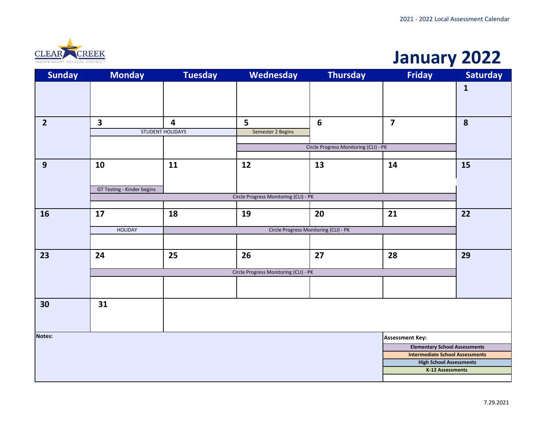

#### **January 2022**

| <b>Sunday</b>  | <b>Monday</b>              | <b>Tuesday</b>                        | Wednesday                             | <b>Thursday</b>                       | <b>Friday</b>                                      | <b>Saturday</b> |  |  |
|----------------|----------------------------|---------------------------------------|---------------------------------------|---------------------------------------|----------------------------------------------------|-----------------|--|--|
|                |                            |                                       |                                       |                                       |                                                    | $\mathbf{1}$    |  |  |
|                |                            |                                       |                                       |                                       |                                                    |                 |  |  |
| $\overline{2}$ | $\overline{\mathbf{3}}$    | 4                                     | 5                                     | 6                                     | $\overline{\mathbf{z}}$                            | 8               |  |  |
|                |                            | STUDENT HOLIDAYS                      | Semester 2 Begins                     |                                       |                                                    |                 |  |  |
|                |                            |                                       |                                       | Circle Progress Monitoring (CLI) - PK |                                                    |                 |  |  |
|                |                            |                                       |                                       |                                       |                                                    |                 |  |  |
| 9              | 10                         | 11                                    | 12                                    | 13                                    | 14                                                 | 15              |  |  |
|                |                            |                                       |                                       |                                       |                                                    |                 |  |  |
|                | GT Testing - Kinder begins |                                       |                                       |                                       |                                                    |                 |  |  |
|                |                            |                                       | Circle Progress Monitoring (CLI) - PK |                                       |                                                    |                 |  |  |
|                | 17                         | 18                                    | 19                                    | 20                                    | 21                                                 | 22              |  |  |
| <b>16</b>      |                            |                                       |                                       |                                       |                                                    |                 |  |  |
|                | <b>HOLIDAY</b>             |                                       |                                       |                                       |                                                    |                 |  |  |
|                |                            |                                       |                                       |                                       |                                                    |                 |  |  |
| 23             | 24                         | 25                                    | 26                                    | 27                                    | 28                                                 | 29              |  |  |
|                |                            | Circle Progress Monitoring (CLI) - PK |                                       |                                       |                                                    |                 |  |  |
|                |                            |                                       |                                       |                                       |                                                    |                 |  |  |
|                |                            |                                       |                                       |                                       |                                                    |                 |  |  |
| 30             | 31                         |                                       |                                       |                                       |                                                    |                 |  |  |
|                |                            |                                       |                                       |                                       |                                                    |                 |  |  |
|                |                            |                                       |                                       |                                       |                                                    |                 |  |  |
| <b>Notes:</b>  |                            |                                       |                                       |                                       | <b>Assessment Key:</b>                             |                 |  |  |
|                |                            |                                       |                                       |                                       | <b>Elementary School Assessments</b>               |                 |  |  |
|                |                            |                                       |                                       |                                       | <b>Intermediate School Assessments</b>             |                 |  |  |
|                |                            |                                       |                                       |                                       | <b>High School Assessments</b><br>K-12 Assessments |                 |  |  |
|                |                            |                                       |                                       |                                       |                                                    |                 |  |  |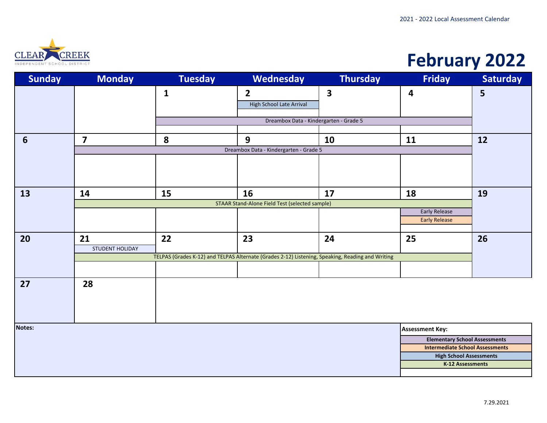

## **February 2022**

| <b>Sunday</b>   | <b>Monday</b>                                                                                                              | <b>Tuesday</b> | Wednesday                                             | <b>Thursday</b> | <b>Friday</b>                                                                  | <b>Saturday</b> |  |  |
|-----------------|----------------------------------------------------------------------------------------------------------------------------|----------------|-------------------------------------------------------|-----------------|--------------------------------------------------------------------------------|-----------------|--|--|
|                 |                                                                                                                            | $\mathbf{1}$   | $\overline{2}$<br>High School Late Arrival            | 3               | 4                                                                              | 5               |  |  |
|                 |                                                                                                                            |                | Dreambox Data - Kindergarten - Grade 5                |                 |                                                                                |                 |  |  |
| $6\phantom{1}6$ | $\overline{\mathbf{z}}$                                                                                                    | 8              | 9                                                     | 10              | 11                                                                             | 12              |  |  |
|                 |                                                                                                                            |                | Dreambox Data - Kindergarten - Grade 5                |                 |                                                                                |                 |  |  |
|                 |                                                                                                                            |                |                                                       |                 |                                                                                |                 |  |  |
| 13              | 14                                                                                                                         | 15             | 16                                                    | 17              | 18                                                                             | 19              |  |  |
|                 |                                                                                                                            |                | <b>STAAR Stand-Alone Field Test (selected sample)</b> |                 | <b>Early Release</b>                                                           |                 |  |  |
|                 |                                                                                                                            |                |                                                       |                 | <b>Early Release</b>                                                           |                 |  |  |
| 20              | 21                                                                                                                         | 22             | 23                                                    | 24              | 25                                                                             | 26              |  |  |
|                 | <b>STUDENT HOLIDAY</b><br>TELPAS (Grades K-12) and TELPAS Alternate (Grades 2-12) Listening, Speaking, Reading and Writing |                |                                                       |                 |                                                                                |                 |  |  |
|                 |                                                                                                                            |                |                                                       |                 |                                                                                |                 |  |  |
| 27              | 28                                                                                                                         |                |                                                       |                 |                                                                                |                 |  |  |
|                 |                                                                                                                            |                |                                                       |                 |                                                                                |                 |  |  |
|                 |                                                                                                                            |                |                                                       |                 |                                                                                |                 |  |  |
| <b>Notes:</b>   |                                                                                                                            |                |                                                       |                 | <b>Assessment Key:</b>                                                         |                 |  |  |
|                 |                                                                                                                            |                |                                                       |                 | <b>Elementary School Assessments</b><br><b>Intermediate School Assessments</b> |                 |  |  |
|                 |                                                                                                                            |                |                                                       |                 | <b>High School Assessments</b>                                                 |                 |  |  |
|                 |                                                                                                                            |                |                                                       |                 | K-12 Assessments                                                               |                 |  |  |
|                 |                                                                                                                            |                |                                                       |                 |                                                                                |                 |  |  |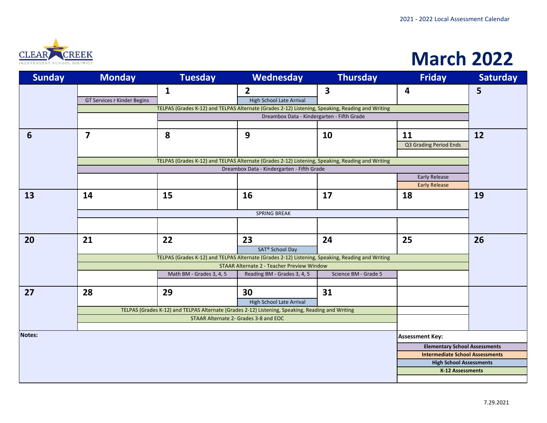

## **March 2022**

| <b>Sunday</b>   | <b>Monday</b>                                                                                                                                  | <b>Tuesday</b>                                                                                   | Wednesday                                         | <b>Thursday</b>      | <b>Friday</b>                        | <b>Saturday</b> |  |  |  |
|-----------------|------------------------------------------------------------------------------------------------------------------------------------------------|--------------------------------------------------------------------------------------------------|---------------------------------------------------|----------------------|--------------------------------------|-----------------|--|--|--|
|                 |                                                                                                                                                | $\mathbf{1}$                                                                                     | $\overline{2}$                                    | 3                    | 4                                    | 5               |  |  |  |
|                 | GT Services r Kinder Begins                                                                                                                    |                                                                                                  | <b>High School Late Arrival</b>                   |                      |                                      |                 |  |  |  |
|                 | TELPAS (Grades K-12) and TELPAS Alternate (Grades 2-12) Listening, Speaking, Reading and Writing                                               |                                                                                                  |                                                   |                      |                                      |                 |  |  |  |
|                 | Dreambox Data - Kindergarten - Fifth Grade                                                                                                     |                                                                                                  |                                                   |                      |                                      |                 |  |  |  |
|                 |                                                                                                                                                |                                                                                                  |                                                   |                      |                                      |                 |  |  |  |
| $6\phantom{1}6$ | $\overline{7}$                                                                                                                                 | 8                                                                                                | 9                                                 | 10                   | 11                                   | 12              |  |  |  |
|                 |                                                                                                                                                |                                                                                                  |                                                   |                      | Q3 Grading Period Ends               |                 |  |  |  |
|                 |                                                                                                                                                |                                                                                                  |                                                   |                      |                                      |                 |  |  |  |
|                 | TELPAS (Grades K-12) and TELPAS Alternate (Grades 2-12) Listening, Speaking, Reading and Writing<br>Dreambox Data - Kindergarten - Fifth Grade |                                                                                                  |                                                   |                      |                                      |                 |  |  |  |
|                 |                                                                                                                                                |                                                                                                  |                                                   |                      | <b>Early Release</b>                 |                 |  |  |  |
|                 |                                                                                                                                                |                                                                                                  |                                                   |                      | <b>Early Release</b>                 |                 |  |  |  |
| 13              | 14                                                                                                                                             | 15                                                                                               | 16                                                | 17                   | 18                                   | 19              |  |  |  |
|                 |                                                                                                                                                |                                                                                                  |                                                   |                      |                                      |                 |  |  |  |
|                 | <b>SPRING BREAK</b>                                                                                                                            |                                                                                                  |                                                   |                      |                                      |                 |  |  |  |
|                 |                                                                                                                                                |                                                                                                  |                                                   |                      |                                      |                 |  |  |  |
|                 |                                                                                                                                                |                                                                                                  |                                                   |                      |                                      |                 |  |  |  |
| 20              | 21                                                                                                                                             | 22                                                                                               | 23                                                | 24                   | 25                                   | 26              |  |  |  |
|                 | <b>SAT<sup>®</sup></b> School Day<br>TELPAS (Grades K-12) and TELPAS Alternate (Grades 2-12) Listening, Speaking, Reading and Writing          |                                                                                                  |                                                   |                      |                                      |                 |  |  |  |
|                 |                                                                                                                                                |                                                                                                  | <b>STAAR Alternate 2 - Teacher Preview Window</b> |                      |                                      |                 |  |  |  |
|                 |                                                                                                                                                | Math BM - Grades 3, 4, 5                                                                         | Reading BM - Grades 3, 4, 5                       | Science BM - Grade 5 |                                      |                 |  |  |  |
|                 |                                                                                                                                                |                                                                                                  |                                                   |                      |                                      |                 |  |  |  |
| 27              | 28                                                                                                                                             | 29                                                                                               | 30                                                | 31                   |                                      |                 |  |  |  |
|                 |                                                                                                                                                |                                                                                                  | <b>High School Late Arrival</b>                   |                      |                                      |                 |  |  |  |
|                 |                                                                                                                                                | TELPAS (Grades K-12) and TELPAS Alternate (Grades 2-12) Listening, Speaking, Reading and Writing |                                                   |                      |                                      |                 |  |  |  |
|                 |                                                                                                                                                |                                                                                                  | STAAR Alternate 2- Grades 3-8 and EOC             |                      |                                      |                 |  |  |  |
|                 |                                                                                                                                                |                                                                                                  |                                                   |                      |                                      |                 |  |  |  |
| Notes:          |                                                                                                                                                |                                                                                                  |                                                   |                      | <b>Assessment Key:</b>               |                 |  |  |  |
|                 |                                                                                                                                                |                                                                                                  |                                                   |                      | <b>Elementary School Assessments</b> |                 |  |  |  |
|                 | <b>Intermediate School Assessments</b>                                                                                                         |                                                                                                  |                                                   |                      |                                      |                 |  |  |  |
|                 |                                                                                                                                                |                                                                                                  |                                                   |                      | <b>High School Assessments</b>       |                 |  |  |  |
|                 |                                                                                                                                                |                                                                                                  |                                                   |                      | K-12 Assessments                     |                 |  |  |  |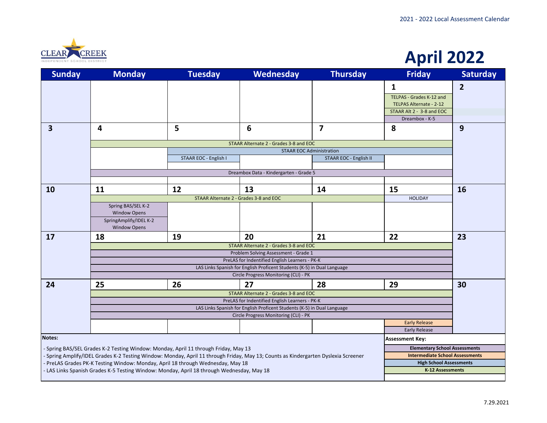

#### **April 2022**

| <b>Sunday</b> | <b>Monday</b>                                                                                                                      | <b>Tuesday</b>        | Wednesday                                                                                                        | <b>Thursday</b>                 | <b>Friday</b>                          | <b>Saturday</b> |  |  |
|---------------|------------------------------------------------------------------------------------------------------------------------------------|-----------------------|------------------------------------------------------------------------------------------------------------------|---------------------------------|----------------------------------------|-----------------|--|--|
|               |                                                                                                                                    |                       |                                                                                                                  |                                 | 1                                      | $\overline{2}$  |  |  |
|               |                                                                                                                                    |                       |                                                                                                                  |                                 | <b>TELPAS - Grades K-12 and</b>        |                 |  |  |
|               |                                                                                                                                    |                       |                                                                                                                  |                                 | TELPAS Alternate - 2-12                |                 |  |  |
|               |                                                                                                                                    |                       |                                                                                                                  |                                 | STAAR Alt 2 - 3-8 and EOC              |                 |  |  |
|               |                                                                                                                                    |                       |                                                                                                                  |                                 | Dreambox - K-5                         |                 |  |  |
| 3             | 4                                                                                                                                  | 5                     | 6                                                                                                                | $\overline{\mathbf{z}}$         | 8                                      | 9               |  |  |
|               | STAAR Alternate 2 - Grades 3-8 and EOC                                                                                             |                       |                                                                                                                  |                                 |                                        |                 |  |  |
|               |                                                                                                                                    |                       |                                                                                                                  | <b>STAAR EOC Administration</b> |                                        |                 |  |  |
|               |                                                                                                                                    | STAAR EOC - English I |                                                                                                                  | STAAR EOC - English II          |                                        |                 |  |  |
|               |                                                                                                                                    |                       | Dreambox Data - Kindergarten - Grade 5                                                                           |                                 |                                        |                 |  |  |
|               |                                                                                                                                    |                       |                                                                                                                  |                                 |                                        |                 |  |  |
| 10            | 11                                                                                                                                 | 12                    | 13                                                                                                               | 14                              | 15                                     | 16              |  |  |
|               | STAAR Alternate 2 - Grades 3-8 and EOC<br><b>HOLIDAY</b>                                                                           |                       |                                                                                                                  |                                 |                                        |                 |  |  |
|               | Spring BAS/SEL K-2<br><b>Window Opens</b>                                                                                          |                       |                                                                                                                  |                                 |                                        |                 |  |  |
|               | SpringAmplify/IDEL K-2                                                                                                             |                       |                                                                                                                  |                                 |                                        |                 |  |  |
|               | <b>Window Opens</b>                                                                                                                |                       |                                                                                                                  |                                 |                                        |                 |  |  |
| 17            | 18                                                                                                                                 | 19                    | 20                                                                                                               | 21                              | 22                                     | 23              |  |  |
|               | STAAR Alternate 2 - Grades 3-8 and EOC                                                                                             |                       |                                                                                                                  |                                 |                                        |                 |  |  |
|               | Problem Solving Assessment - Grade 1<br>PreLAS for Indentified English Learners - PK-K                                             |                       |                                                                                                                  |                                 |                                        |                 |  |  |
|               | LAS Links Spanish for English Proficent Students (K-5) in Dual Language                                                            |                       |                                                                                                                  |                                 |                                        |                 |  |  |
|               |                                                                                                                                    |                       | Circle Progress Monitoring (CLI) - PK                                                                            |                                 |                                        |                 |  |  |
| 24            | 25                                                                                                                                 | 26                    | 27                                                                                                               | 28                              | 29                                     | 30              |  |  |
|               |                                                                                                                                    |                       | STAAR Alternate 2 - Grades 3-8 and EOC                                                                           |                                 |                                        |                 |  |  |
|               |                                                                                                                                    |                       | PreLAS for Indentified English Learners - PK-K                                                                   |                                 |                                        |                 |  |  |
|               |                                                                                                                                    |                       | LAS Links Spanish for English Proficent Students (K-5) in Dual Language<br>Circle Progress Monitoring (CLI) - PK |                                 |                                        |                 |  |  |
|               | <b>Early Release</b>                                                                                                               |                       |                                                                                                                  |                                 |                                        |                 |  |  |
|               |                                                                                                                                    |                       |                                                                                                                  |                                 | <b>Early Release</b>                   |                 |  |  |
| Notes:        |                                                                                                                                    |                       |                                                                                                                  |                                 | <b>Assessment Key:</b>                 |                 |  |  |
|               | - Spring BAS/SEL Grades K-2 Testing Window: Monday, April 11 through Friday, May 13                                                |                       |                                                                                                                  |                                 | <b>Elementary School Assessments</b>   |                 |  |  |
|               | - Spring Amplify/IDEL Grades K-2 Testing Window: Monday, April 11 through Friday, May 13; Counts as Kindergarten Dyslexia Screener |                       |                                                                                                                  |                                 | <b>Intermediate School Assessments</b> |                 |  |  |
|               | - PreLAS Grades PK-K Testing Window: Monday, April 18 through Wednesday, May 18                                                    |                       |                                                                                                                  |                                 | <b>High School Assessments</b>         |                 |  |  |
|               | - LAS Links Spanish Grades K-5 Testing Window: Monday, April 18 through Wednesday, May 18                                          |                       |                                                                                                                  |                                 | K-12 Assessments                       |                 |  |  |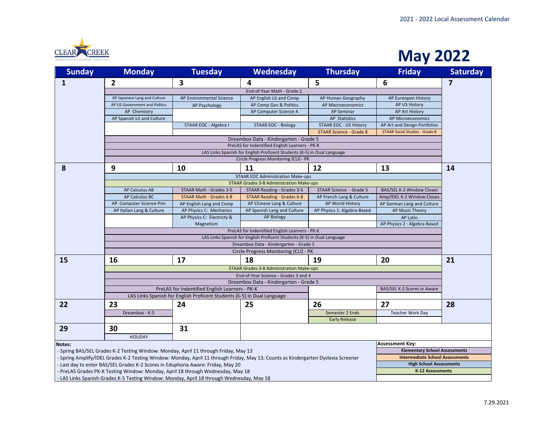

#### **May 2022**

| <b>Sunday</b> | <b>Monday</b>                                                                                                                      | <b>Tuesday</b>                                                          | Wednesday                                       | <b>Thursday</b>                | <b>Friday</b>                          | <b>Saturday</b> |  |  |  |
|---------------|------------------------------------------------------------------------------------------------------------------------------------|-------------------------------------------------------------------------|-------------------------------------------------|--------------------------------|----------------------------------------|-----------------|--|--|--|
| $\mathbf{1}$  | $\mathbf{2}$                                                                                                                       | 3                                                                       | 4                                               | 5                              | 6                                      | 7               |  |  |  |
|               |                                                                                                                                    |                                                                         | End-of-Year Math - Grade 2                      |                                |                                        |                 |  |  |  |
|               | AP Japanese Lang and Culture                                                                                                       | AP Environmental Science                                                | AP English Lit and Comp                         | AP Human Geography             | AP Eureopen History                    |                 |  |  |  |
|               | AP US Government and Politics                                                                                                      | AP Psychology                                                           | AP Comp Gov & Politics                          | <b>AP Macroeconomics</b>       | AP US History                          |                 |  |  |  |
|               | AP Chemistry                                                                                                                       |                                                                         | AP Computer Science A                           | <b>AP Seminar</b>              | AP Art History                         |                 |  |  |  |
|               | AP Spanish Lit and Culture                                                                                                         |                                                                         |                                                 | <b>AP Statistics</b>           | AP Microeconomics                      |                 |  |  |  |
|               |                                                                                                                                    | STAAR EOC - Algebra I                                                   | <b>STAAR EOC - Biology</b>                      | <b>STAAR EOC - US History</b>  | AP Art and Design Portfolios           |                 |  |  |  |
|               |                                                                                                                                    |                                                                         |                                                 | <b>STAAR Science - Grade 8</b> | <b>STAAR Social Studies - Grade 8</b>  |                 |  |  |  |
|               |                                                                                                                                    |                                                                         | Dreambox Data - Kindergarten - Grade 5          |                                |                                        |                 |  |  |  |
|               | PreLAS for Indentified English Learners - PK-K                                                                                     |                                                                         |                                                 |                                |                                        |                 |  |  |  |
|               | LAS Links Spanish for English Proficent Students (K-5) in Dual Language                                                            |                                                                         |                                                 |                                |                                        |                 |  |  |  |
|               |                                                                                                                                    |                                                                         | Circle Progress Monitoring (CLI) - PK           |                                |                                        |                 |  |  |  |
| 8             | 9                                                                                                                                  | 10                                                                      | 11                                              | 12                             | 13                                     | 14              |  |  |  |
|               |                                                                                                                                    |                                                                         | <b>STAAR EOC Administration Make-ups</b>        |                                |                                        |                 |  |  |  |
|               |                                                                                                                                    |                                                                         | <b>STAAR Grades 3-8 Administration Make-ups</b> |                                |                                        |                 |  |  |  |
|               | <b>AP Calculus AB</b>                                                                                                              | STAAR Math - Grades 3-5                                                 | STAAR Reading - Grades 3-5                      | STAAR Science - Grade 5        | BAS/SEL K-2 Window Closes              |                 |  |  |  |
|               | <b>AP Calculus BC</b>                                                                                                              | STAAR Math - Grades 6-8                                                 | <b>STAAR Reading - Grades 6-8</b>               | AP French Lang & Culture       | Amp/IDEL K-2 Window Closes             |                 |  |  |  |
|               | AP Computer Science Prin                                                                                                           | AP English Lang and Comp                                                | AP Chinese Lang & Culture                       | AP World History               | AP German Lang and Culture             |                 |  |  |  |
|               | AP Italian Lang & Culture                                                                                                          | AP Physics C: Mechanics                                                 | AP Spanish Lang and Culture                     | AP Physics 1: Algebra-Based    | <b>AP Music Theory</b>                 |                 |  |  |  |
|               |                                                                                                                                    | AP Physics C: Electricty &                                              | <b>AP Biology</b>                               |                                | AP Latin                               |                 |  |  |  |
|               |                                                                                                                                    | Magnetism                                                               |                                                 |                                | AP Physics 2 : Algebra-Based           |                 |  |  |  |
|               | PreLAS for Indentified English Learners - PK-K                                                                                     |                                                                         |                                                 |                                |                                        |                 |  |  |  |
|               | LAS Links Spanish for English Proficent Students (K-5) in Dual Language                                                            |                                                                         |                                                 |                                |                                        |                 |  |  |  |
|               | Dreambox Data - Kindergarten - Grade 5                                                                                             |                                                                         |                                                 |                                |                                        |                 |  |  |  |
|               |                                                                                                                                    |                                                                         | Circle Progress Monitoring (CLI) - PK           |                                |                                        |                 |  |  |  |
| 15            | 16                                                                                                                                 | 17                                                                      | 18                                              | 19                             | 20                                     | 21              |  |  |  |
|               |                                                                                                                                    |                                                                         | <b>STAAR Grades 3-8 Administration Make-ups</b> |                                |                                        |                 |  |  |  |
|               |                                                                                                                                    |                                                                         | End-of-Year Science - Grades 3 and 4            |                                |                                        |                 |  |  |  |
|               |                                                                                                                                    |                                                                         | Dreambox Data - Kindergarten - Grade 5          |                                |                                        |                 |  |  |  |
|               |                                                                                                                                    | PreLAS for Indentified English Learners - PK-K                          |                                                 |                                | BAS/SEL K-2 Scores in Aware            |                 |  |  |  |
|               |                                                                                                                                    | LAS Links Spanish for English Proficent Students (K-5) in Dual Language |                                                 |                                |                                        |                 |  |  |  |
| 22            | 23                                                                                                                                 | 24                                                                      | 25                                              | 26                             | 27                                     | 28              |  |  |  |
|               | Dreambox - K-5                                                                                                                     |                                                                         |                                                 | Semester 2 Ends                | <b>Teacher Work Day</b>                |                 |  |  |  |
|               |                                                                                                                                    |                                                                         |                                                 | <b>Early Release</b>           |                                        |                 |  |  |  |
| 29            | 30                                                                                                                                 | 31                                                                      |                                                 |                                |                                        |                 |  |  |  |
|               | <b>HOLIDAY</b>                                                                                                                     |                                                                         |                                                 |                                |                                        |                 |  |  |  |
| Notes:        |                                                                                                                                    |                                                                         |                                                 |                                | <b>Assessment Key:</b>                 |                 |  |  |  |
|               | - Spring BAS/SEL Grades K-2 Testing Window: Monday, April 11 through Friday, May 13                                                |                                                                         |                                                 |                                | <b>Elementary School Assessments</b>   |                 |  |  |  |
|               | - Spring Amplify/IDEL Grades K-2 Testing Window: Monday, April 11 through Friday, May 13; Counts as Kindergarten Dyslexia Screener |                                                                         |                                                 |                                | <b>Intermediate School Assessments</b> |                 |  |  |  |
|               | - Last day to enter BAS/SEL Grades K-2 Scores in Eduphoria Aware: Friday, May 20                                                   |                                                                         |                                                 |                                | <b>High School Assessments</b>         |                 |  |  |  |
|               | - PreLAS Grades PK-K Testing Window: Monday, April 18 through Wednesday, May 18                                                    |                                                                         |                                                 |                                | <b>K-12 Assessments</b>                |                 |  |  |  |
|               |                                                                                                                                    |                                                                         |                                                 |                                |                                        |                 |  |  |  |

- LAS Links Spanish Grades K-5 Testing Window: Monday, April 18 through Wednesday, May 18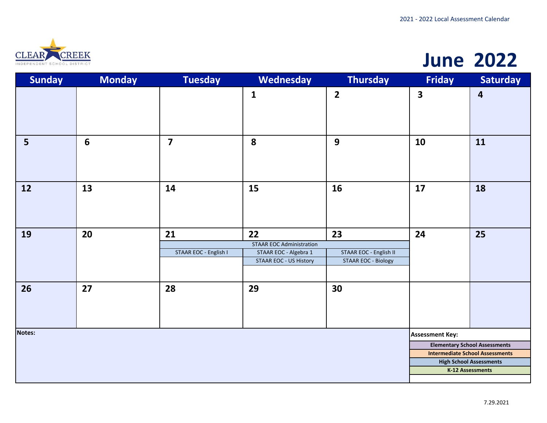

## **June 2022**

| <b>Sunday</b>  | <b>Monday</b>  | <b>Tuesday</b>              | Wednesday                                                                                       | <b>Thursday</b>                                            | <b>Friday</b>           | <b>Saturday</b>                                                          |
|----------------|----------------|-----------------------------|-------------------------------------------------------------------------------------------------|------------------------------------------------------------|-------------------------|--------------------------------------------------------------------------|
|                |                |                             | $\mathbf{1}$                                                                                    | $\overline{\mathbf{2}}$                                    | $\overline{\mathbf{3}}$ | $\overline{\mathbf{r}}$                                                  |
| $5\phantom{a}$ | $6\phantom{1}$ | $\overline{\mathbf{z}}$     | 8                                                                                               | 9                                                          | 10                      | 11                                                                       |
| 12             | 13             | 14                          | 15                                                                                              | 16                                                         | 17                      | 18                                                                       |
| 19             | 20             | 21<br>STAAR EOC - English I | 22<br><b>STAAR EOC Administration</b><br>STAAR EOC - Algebra 1<br><b>STAAR EOC - US History</b> | 23<br>STAAR EOC - English II<br><b>STAAR EOC - Biology</b> | 24                      | 25                                                                       |
| 26             | 27             | 28                          | 29                                                                                              | 30                                                         |                         |                                                                          |
| <b>Notes:</b>  |                |                             |                                                                                                 |                                                            | <b>Assessment Key:</b>  |                                                                          |
|                |                |                             |                                                                                                 |                                                            |                         | <b>Elementary School Assessments</b>                                     |
|                |                |                             |                                                                                                 |                                                            |                         | <b>Intermediate School Assessments</b><br><b>High School Assessments</b> |
|                |                |                             |                                                                                                 |                                                            |                         | <b>K-12 Assessments</b>                                                  |
|                |                |                             |                                                                                                 |                                                            |                         |                                                                          |